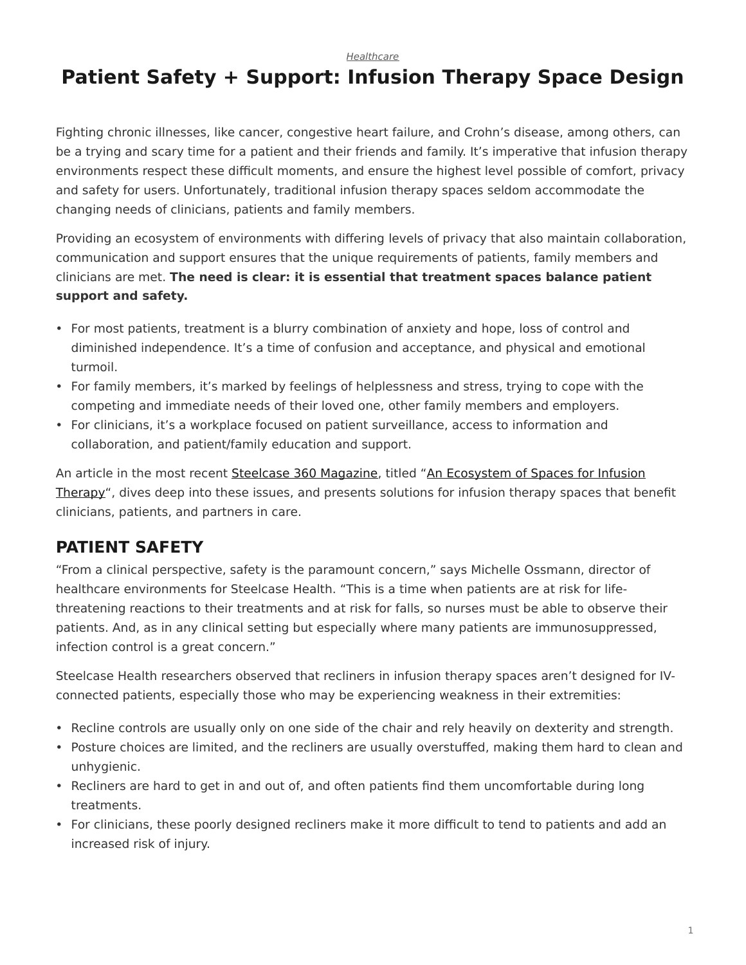*[Healthcare](https://www.steelcase.com/research/topics/healthcare/)*

## <span id="page-0-0"></span>**Patient Safety + Support: Infusion Therapy Space Design**

Fighting chronic illnesses, like cancer, congestive heart failure, and Crohn's disease, among others, can be a trying and scary time for a patient and their friends and family. It's imperative that infusion therapy environments respect these difficult moments, and ensure the highest level possible of comfort, privacy and safety for users. Unfortunately, traditional infusion therapy spaces seldom accommodate the changing needs of clinicians, patients and family members.

Providing an ecosystem of environments with differing levels of privacy that also maintain collaboration, communication and support ensures that the unique requirements of patients, family members and clinicians are met. **The need is clear: it is essential that treatment spaces balance patient support and safety.**

- For most patients, treatment is a blurry combination of anxiety and hope, loss of control and diminished independence. It's a time of confusion and acceptance, and physical and emotional turmoil.
- For family members, it's marked by feelings of helplessness and stress, trying to cope with the competing and immediate needs of their loved one, other family members and employers.
- For clinicians, it's a workplace focused on patient surveillance, access to information and collaboration, and patient/family education and support.

An article in the most recent [Steelcase 360 Magazine](https://www.steelcase.com/insights/360-magazine/), titled ["An Ecosystem of Spaces for Infusion](https://www.steelcase.com/insights/articles/ecosystem-spaces-infusion-therapy/) [Therapy](https://www.steelcase.com/insights/articles/ecosystem-spaces-infusion-therapy/)", dives deep into these issues, and presents solutions for infusion therapy spaces that benefit clinicians, patients, and partners in care.

## **PATIENT SAFETY**

"From a clinical perspective, safety is the paramount concern," says Michelle Ossmann, director of healthcare environments for Steelcase Health. "This is a time when patients are at risk for lifethreatening reactions to their treatments and at risk for falls, so nurses must be able to observe their patients. And, as in any clinical setting but especially where many patients are immunosuppressed, infection control is a great concern."

Steelcase Health researchers observed that recliners in infusion therapy spaces aren't designed for IVconnected patients, especially those who may be experiencing weakness in their extremities:

- Recline controls are usually only on one side of the chair and rely heavily on dexterity and strength.
- Posture choices are limited, and the recliners are usually overstuffed, making them hard to clean and unhygienic.
- Recliners are hard to get in and out of, and often patients find them uncomfortable during long treatments.
- For clinicians, these poorly designed recliners make it more difficult to tend to patients and add an increased risk of injury.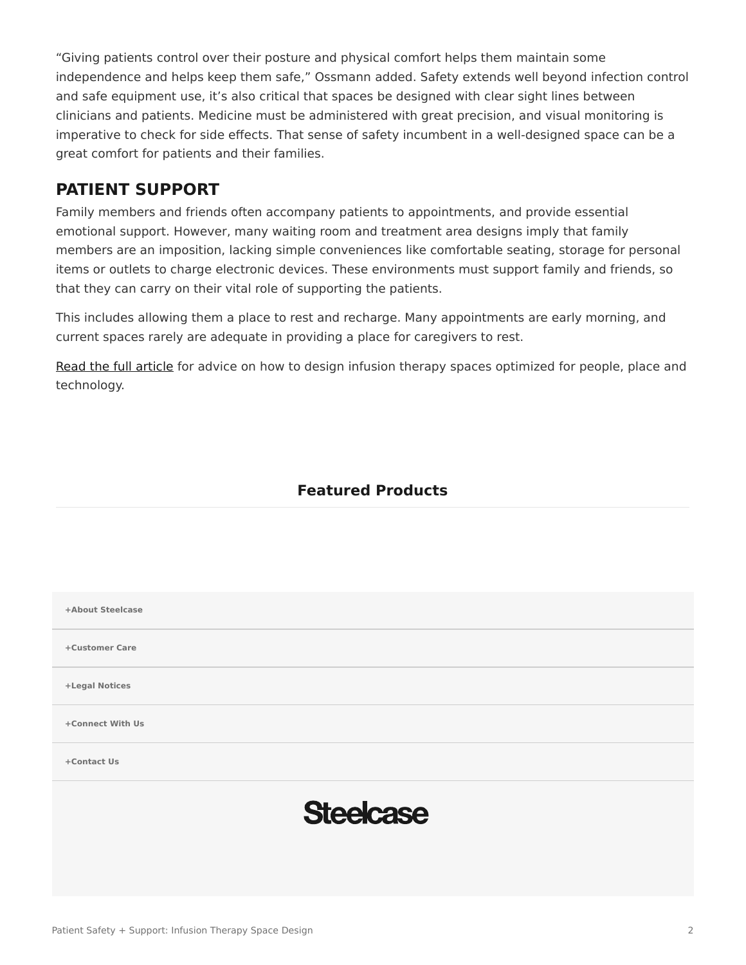"Giving patients control over their posture and physical comfort helps them maintain some independence and helps keep them safe," Ossmann added. Safety extends well beyond infection control and safe equipment use, it's also critical that spaces be designed with clear sight lines between clinicians and patients. Medicine must be administered with great precision, and visual monitoring is imperative to check for side effects. That sense of safety incumbent in a well-designed space can be a great comfort for patients and their families.

## **PATIENT SUPPORT**

Family members and friends often accompany patients to appointments, and provide essential emotional support. However, many waiting room and treatment area designs imply that family members are an imposition, lacking simple conveniences like comfortable seating, storage for personal items or outlets to charge electronic devices. These environments must support family and friends, so that they can carry on their vital role of supporting the patients.

This includes allowing them a place to rest and recharge. Many appointments are early morning, and current spaces rarely are adequate in providing a place for caregivers to rest.

[Read the full article](https://www.steelcase.com/insights/articles/ecosystem-spaces-infusion-therapy/) for advice on how to design infusion therapy spaces optimized for people, place and technology.

## **Featured Products**

| +About Steelcase<br>+Customer Care |
|------------------------------------|
|                                    |
|                                    |
| +Legal Notices                     |
| +Connect With Us                   |
| +Contact Us                        |
| <b>Steelcase</b>                   |
|                                    |